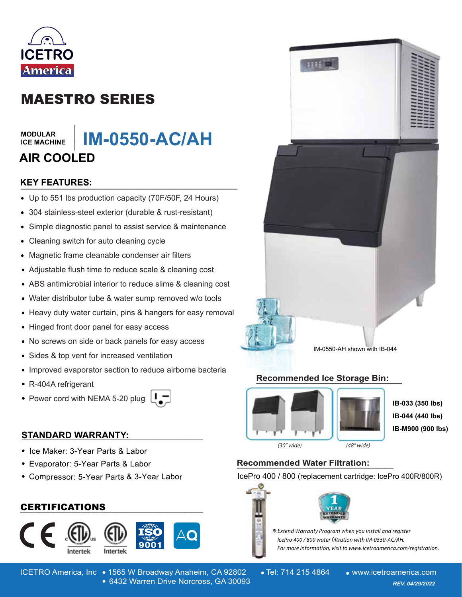

# MAESTRO SERIES

#### **MODULAR ICE MACHINE**

# **\_\_\_\_\_\_\_ IM-0550-AC/AH AIR COOLED**

# **KEY FEATURES: \_\_\_\_\_\_\_\_\_\_\_\_\_\_\_\_\_\_\_\_\_\_\_\_\_\_\_\_\_\_**

- Up to 551 lbs production capacity (70F/50F, 24 Hours)
- 304 stainless-steel exterior (durable & rust-resistant)
- Simple diagnostic panel to assist service & maintenance  $\bullet$
- Cleaning switch for auto cleaning cycle
- Magnetic frame cleanable condenser air filters  $\bullet$
- Adjustable flush time to reduce scale & cleaning cost
- ABS antimicrobial interior to reduce slime & cleaning cost
- Water distributor tube & water sump removed w/o tools
- Heavy duty water curtain, pins & hangers for easy removal
- Hinged front door panel for easy access
- No screws on side or back panels for easy access
- Sides & top vent for increased ventilation
- Improved evaporator section to reduce airborne bacteria
- R-404A refrigerant
- Power cord with NEMA 5-20 plug  $\Box$

### **STANDARD WARRANTY: \_\_\_\_\_\_\_\_\_\_\_\_\_\_\_\_\_\_\_\_\_\_\_\_\_\_\_\_\_\_\_\_\_\_\_\_\_\_\_\_**

- Ice Maker: 3-Year Parts & Labor
- Evaporator: 5-Year Parts & Labor
- Compressor: 5-Year Parts & 3-Year Labor

## **\_\_\_\_\_\_\_\_\_\_\_\_\_\_\_\_\_\_\_\_\_\_\_\_\_\_\_\_\_\_\_\_\_\_\_\_\_\_\_\_** CERTIFICATIONS







#### IM-0550-AH shown with IB-044

#### **Recommended Ice Storage Bin: \_\_\_\_\_\_\_\_\_\_\_\_\_\_\_\_\_\_\_\_\_\_\_\_\_\_\_\_\_\_\_\_\_\_\_\_\_\_**



**IB-033 (350 lbs) IB-044 (440 lbs) IB-M900 (900 lbs)**

 $(30"$  wide)

(48" wide)

# **Recommended Water Filtration: \_\_\_\_\_\_\_\_\_\_\_\_\_\_\_\_\_\_\_**

IcePro 400 / 800 (replacement cartridge: IcePro 400R/800R)





ICETRO America, Inc • 1565 W Broadway Anaheim, CA 92802 • Tel: 714 215 4864 • www.icetroamerica.com 6432 Warren Drive Norcross, GA 30093 *REV. 01/01/2022* 6432 Warren Drive Norcross, GA 30093 *REV. 04/29/2022*